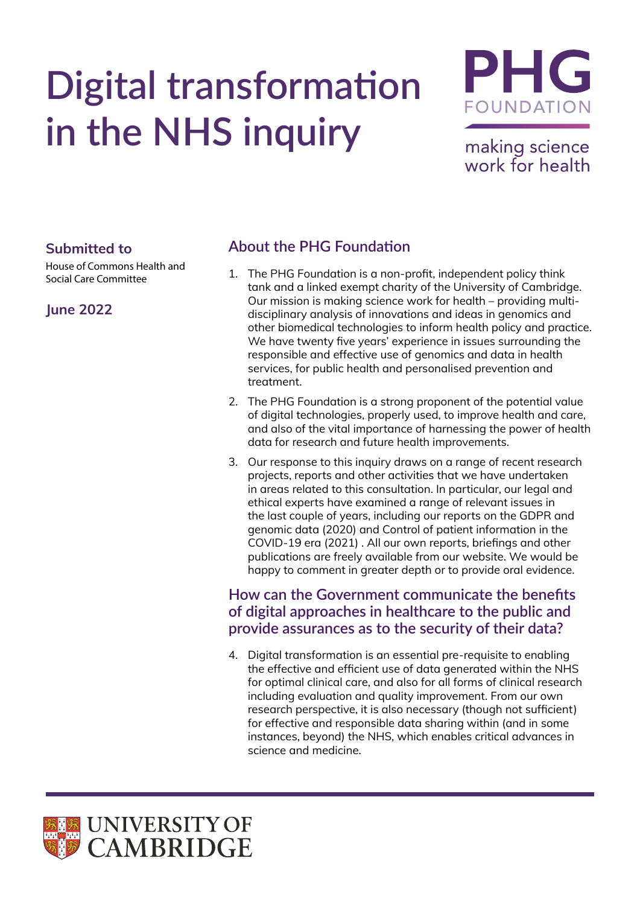# **Digital transformation in the NHS inquiry**



making science work for health

### **Submitted to**

House of Commons Health and Social Care Committee

## **June 2022**

## **About the PHG Foundation**

- 1. The PHG Foundation is a non-profit, independent policy think tank and a linked exempt charity of the University of Cambridge. Our mission is making science work for health – providing multidisciplinary analysis of innovations and ideas in genomics and other biomedical technologies to inform health policy and practice. We have twenty five years' experience in issues surrounding the responsible and effective use of genomics and data in health services, for public health and personalised prevention and treatment.
- 2. The PHG Foundation is a strong proponent of the potential value of digital technologies, properly used, to improve health and care, and also of the vital importance of harnessing the power of health data for research and future health improvements.
- 3. Our response to this inquiry draws on a range of recent research projects, reports and other activities that we have undertaken in areas related to this consultation. In particular, our legal and ethical experts have examined a range of relevant issues in the last couple of years, including our reports on the GDPR and genomic data (2020) and Control of patient information in the COVID-19 era (2021) . All our own reports, briefings and other publications are freely available from our website. We would be happy to comment in greater depth or to provide oral evidence.

## **How can the Government communicate the benefits of digital approaches in healthcare to the public and provide assurances as to the security of their data?**

4. Digital transformation is an essential pre-requisite to enabling the effective and efficient use of data generated within the NHS for optimal clinical care, and also for all forms of clinical research including evaluation and quality improvement. From our own research perspective, it is also necessary (though not sufficient) for effective and responsible data sharing within (and in some instances, beyond) the NHS, which enables critical advances in science and medicine.

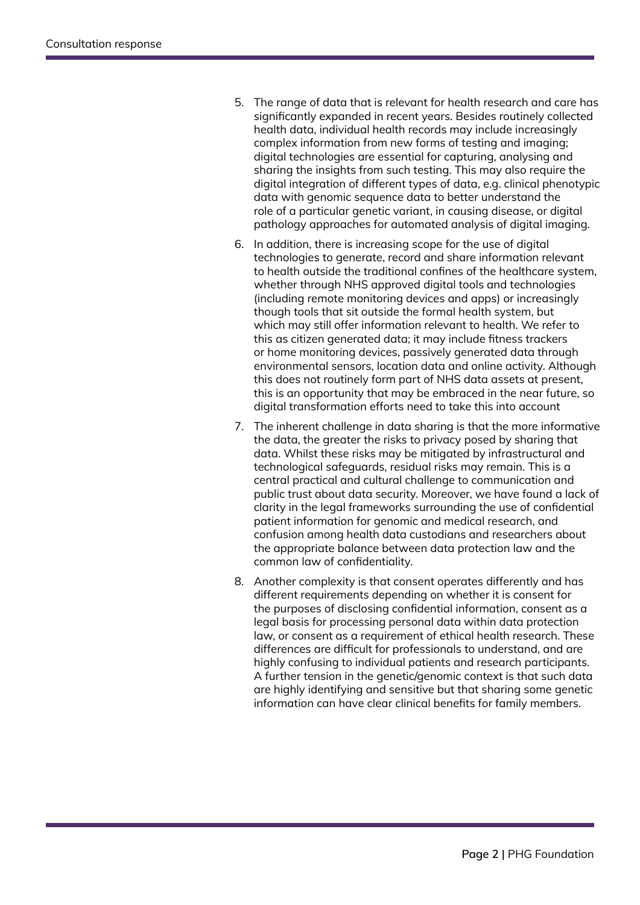- 5. The range of data that is relevant for health research and care has significantly expanded in recent years. Besides routinely collected health data, individual health records may include increasingly complex information from new forms of testing and imaging; digital technologies are essential for capturing, analysing and sharing the insights from such testing. This may also require the digital integration of different types of data, e.g. clinical phenotypic data with genomic sequence data to better understand the role of a particular genetic variant, in causing disease, or digital pathology approaches for automated analysis of digital imaging.
- 6. In addition, there is increasing scope for the use of digital technologies to generate, record and share information relevant to health outside the traditional confines of the healthcare system, whether through NHS approved digital tools and technologies (including remote monitoring devices and apps) or increasingly though tools that sit outside the formal health system, but which may still offer information relevant to health. We refer to this as citizen generated data; it may include fitness trackers or home monitoring devices, passively generated data through environmental sensors, location data and online activity. Although this does not routinely form part of NHS data assets at present, this is an opportunity that may be embraced in the near future, so digital transformation efforts need to take this into account
- 7. The inherent challenge in data sharing is that the more informative the data, the greater the risks to privacy posed by sharing that data. Whilst these risks may be mitigated by infrastructural and technological safeguards, residual risks may remain. This is a central practical and cultural challenge to communication and public trust about data security. Moreover, we have found a lack of clarity in the legal frameworks surrounding the use of confidential patient information for genomic and medical research, and confusion among health data custodians and researchers about the appropriate balance between data protection law and the common law of confidentiality.
- 8. Another complexity is that consent operates differently and has different requirements depending on whether it is consent for the purposes of disclosing confidential information, consent as a legal basis for processing personal data within data protection law, or consent as a requirement of ethical health research. These differences are difficult for professionals to understand, and are highly confusing to individual patients and research participants. A further tension in the genetic/genomic context is that such data are highly identifying and sensitive but that sharing some genetic information can have clear clinical benefits for family members.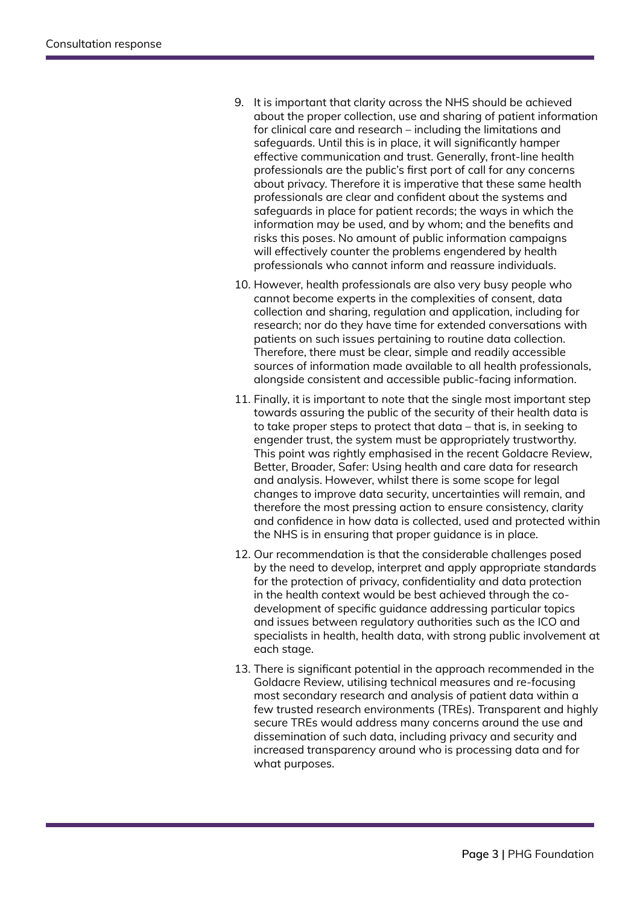- 9. It is important that clarity across the NHS should be achieved about the proper collection, use and sharing of patient information for clinical care and research – including the limitations and safeguards. Until this is in place, it will significantly hamper effective communication and trust. Generally, front-line health professionals are the public's first port of call for any concerns about privacy. Therefore it is imperative that these same health professionals are clear and confident about the systems and safeguards in place for patient records; the ways in which the information may be used, and by whom; and the benefits and risks this poses. No amount of public information campaigns will effectively counter the problems engendered by health professionals who cannot inform and reassure individuals.
- 10. However, health professionals are also very busy people who cannot become experts in the complexities of consent, data collection and sharing, regulation and application, including for research; nor do they have time for extended conversations with patients on such issues pertaining to routine data collection. Therefore, there must be clear, simple and readily accessible sources of information made available to all health professionals, alongside consistent and accessible public-facing information.
- 11. Finally, it is important to note that the single most important step towards assuring the public of the security of their health data is to take proper steps to protect that data – that is, in seeking to engender trust, the system must be appropriately trustworthy. This point was rightly emphasised in the recent Goldacre Review, Better, Broader, Safer: Using health and care data for research and analysis. However, whilst there is some scope for legal changes to improve data security, uncertainties will remain, and therefore the most pressing action to ensure consistency, clarity and confidence in how data is collected, used and protected within the NHS is in ensuring that proper guidance is in place.
- 12. Our recommendation is that the considerable challenges posed by the need to develop, interpret and apply appropriate standards for the protection of privacy, confidentiality and data protection in the health context would be best achieved through the codevelopment of specific guidance addressing particular topics and issues between regulatory authorities such as the ICO and specialists in health, health data, with strong public involvement at each stage.
- 13. There is significant potential in the approach recommended in the Goldacre Review, utilising technical measures and re-focusing most secondary research and analysis of patient data within a few trusted research environments (TREs). Transparent and highly secure TREs would address many concerns around the use and dissemination of such data, including privacy and security and increased transparency around who is processing data and for what purposes.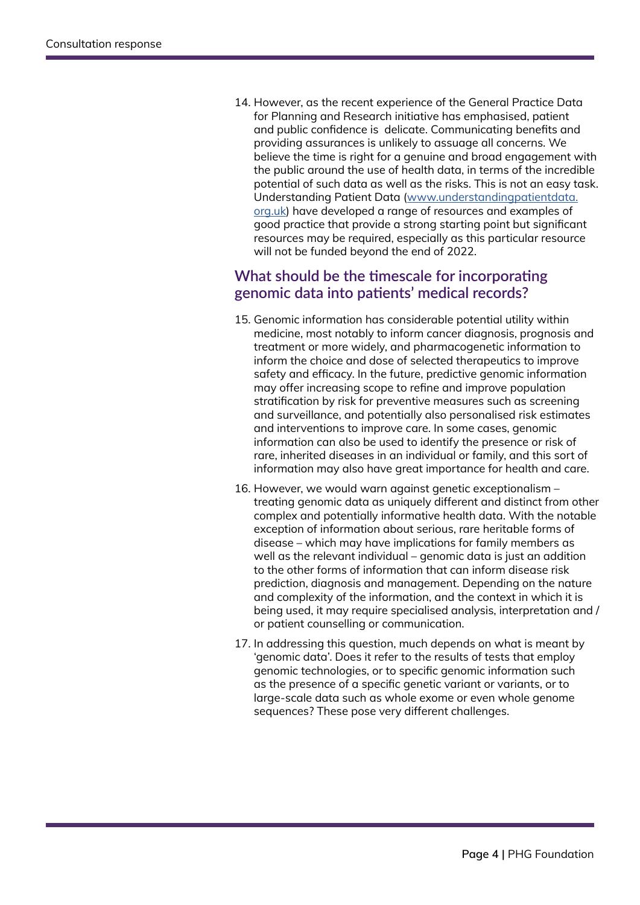14. However, as the recent experience of the General Practice Data for Planning and Research initiative has emphasised, patient and public confidence is delicate. Communicating benefits and providing assurances is unlikely to assuage all concerns. We believe the time is right for a genuine and broad engagement with the public around the use of health data, in terms of the incredible potential of such data as well as the risks. This is not an easy task. Understanding Patient Data ([www.understandingpatientdata.](http://www.understandingpatientdata.org.uk) [org.uk](http://www.understandingpatientdata.org.uk)) have developed a range of resources and examples of good practice that provide a strong starting point but significant resources may be required, especially as this particular resource will not be funded beyond the end of 2022.

## **What should be the timescale for incorporating genomic data into patients' medical records?**

- 15. Genomic information has considerable potential utility within medicine, most notably to inform cancer diagnosis, prognosis and treatment or more widely, and pharmacogenetic information to inform the choice and dose of selected therapeutics to improve safety and efficacy. In the future, predictive genomic information may offer increasing scope to refine and improve population stratification by risk for preventive measures such as screening and surveillance, and potentially also personalised risk estimates and interventions to improve care. In some cases, genomic information can also be used to identify the presence or risk of rare, inherited diseases in an individual or family, and this sort of information may also have great importance for health and care.
- 16. However, we would warn against genetic exceptionalism treating genomic data as uniquely different and distinct from other complex and potentially informative health data. With the notable exception of information about serious, rare heritable forms of disease – which may have implications for family members as well as the relevant individual – genomic data is just an addition to the other forms of information that can inform disease risk prediction, diagnosis and management. Depending on the nature and complexity of the information, and the context in which it is being used, it may require specialised analysis, interpretation and / or patient counselling or communication.
- 17. In addressing this question, much depends on what is meant by 'genomic data'. Does it refer to the results of tests that employ genomic technologies, or to specific genomic information such as the presence of a specific genetic variant or variants, or to large-scale data such as whole exome or even whole genome sequences? These pose very different challenges.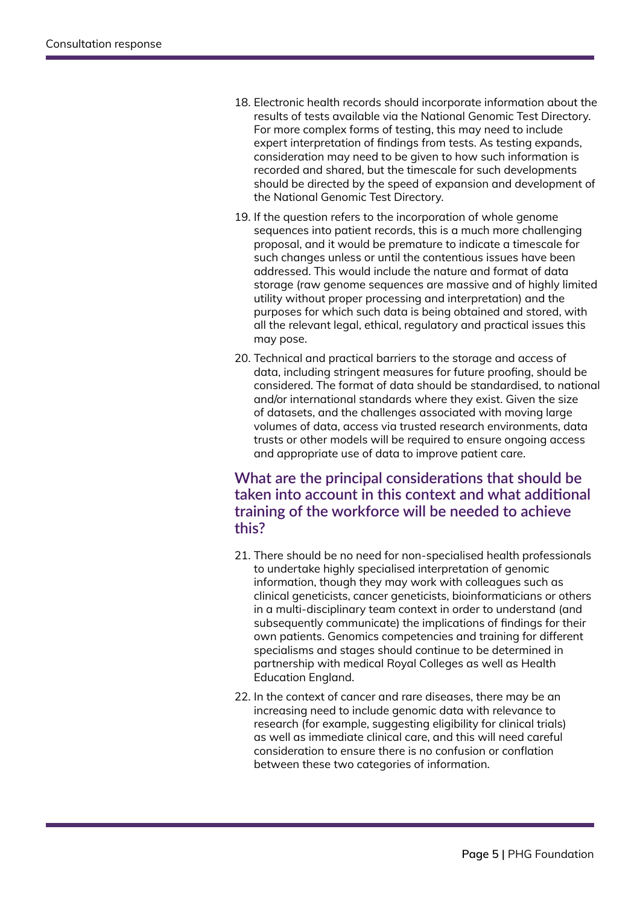- 18. Electronic health records should incorporate information about the results of tests available via the National Genomic Test Directory. For more complex forms of testing, this may need to include expert interpretation of findings from tests. As testing expands, consideration may need to be given to how such information is recorded and shared, but the timescale for such developments should be directed by the speed of expansion and development of the National Genomic Test Directory.
- 19. If the question refers to the incorporation of whole genome sequences into patient records, this is a much more challenging proposal, and it would be premature to indicate a timescale for such changes unless or until the contentious issues have been addressed. This would include the nature and format of data storage (raw genome sequences are massive and of highly limited utility without proper processing and interpretation) and the purposes for which such data is being obtained and stored, with all the relevant legal, ethical, regulatory and practical issues this may pose.
- 20. Technical and practical barriers to the storage and access of data, including stringent measures for future proofing, should be considered. The format of data should be standardised, to national and/or international standards where they exist. Given the size of datasets, and the challenges associated with moving large volumes of data, access via trusted research environments, data trusts or other models will be required to ensure ongoing access and appropriate use of data to improve patient care.

### **What are the principal considerations that should be taken into account in this context and what additional training of the workforce will be needed to achieve this?**

- 21. There should be no need for non-specialised health professionals to undertake highly specialised interpretation of genomic information, though they may work with colleagues such as clinical geneticists, cancer geneticists, bioinformaticians or others in a multi-disciplinary team context in order to understand (and subsequently communicate) the implications of findings for their own patients. Genomics competencies and training for different specialisms and stages should continue to be determined in partnership with medical Royal Colleges as well as Health Education England.
- 22. In the context of cancer and rare diseases, there may be an increasing need to include genomic data with relevance to research (for example, suggesting eligibility for clinical trials) as well as immediate clinical care, and this will need careful consideration to ensure there is no confusion or conflation between these two categories of information.